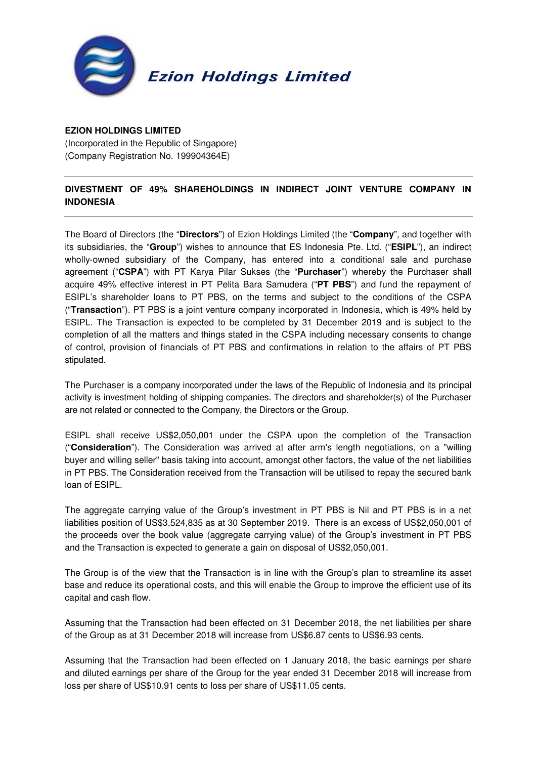

## **EZION HOLDINGS LIMITED**

(Incorporated in the Republic of Singapore) (Company Registration No. 199904364E)

## **DIVESTMENT OF 49% SHAREHOLDINGS IN INDIRECT JOINT VENTURE COMPANY IN INDONESIA**

The Board of Directors (the "**Directors**") of Ezion Holdings Limited (the "**Company**", and together with its subsidiaries, the "**Group**") wishes to announce that ES Indonesia Pte. Ltd. ("**ESIPL**"), an indirect wholly-owned subsidiary of the Company, has entered into a conditional sale and purchase agreement ("**CSPA**") with PT Karya Pilar Sukses (the "**Purchaser**") whereby the Purchaser shall acquire 49% effective interest in PT Pelita Bara Samudera ("**PT PBS**") and fund the repayment of ESIPL's shareholder loans to PT PBS, on the terms and subject to the conditions of the CSPA ("**Transaction**"). PT PBS is a joint venture company incorporated in Indonesia, which is 49% held by ESIPL. The Transaction is expected to be completed by 31 December 2019 and is subject to the completion of all the matters and things stated in the CSPA including necessary consents to change of control, provision of financials of PT PBS and confirmations in relation to the affairs of PT PBS stipulated.

The Purchaser is a company incorporated under the laws of the Republic of Indonesia and its principal activity is investment holding of shipping companies. The directors and shareholder(s) of the Purchaser are not related or connected to the Company, the Directors or the Group.

ESIPL shall receive US\$2,050,001 under the CSPA upon the completion of the Transaction ("**Consideration**"). The Consideration was arrived at after arm's length negotiations, on a "willing buyer and willing seller" basis taking into account, amongst other factors, the value of the net liabilities in PT PBS. The Consideration received from the Transaction will be utilised to repay the secured bank loan of ESIPL.

The aggregate carrying value of the Group's investment in PT PBS is Nil and PT PBS is in a net liabilities position of US\$3,524,835 as at 30 September 2019. There is an excess of US\$2,050,001 of the proceeds over the book value (aggregate carrying value) of the Group's investment in PT PBS and the Transaction is expected to generate a gain on disposal of US\$2,050,001.

The Group is of the view that the Transaction is in line with the Group's plan to streamline its asset base and reduce its operational costs, and this will enable the Group to improve the efficient use of its capital and cash flow.

Assuming that the Transaction had been effected on 31 December 2018, the net liabilities per share of the Group as at 31 December 2018 will increase from US\$6.87 cents to US\$6.93 cents.

Assuming that the Transaction had been effected on 1 January 2018, the basic earnings per share and diluted earnings per share of the Group for the year ended 31 December 2018 will increase from loss per share of US\$10.91 cents to loss per share of US\$11.05 cents.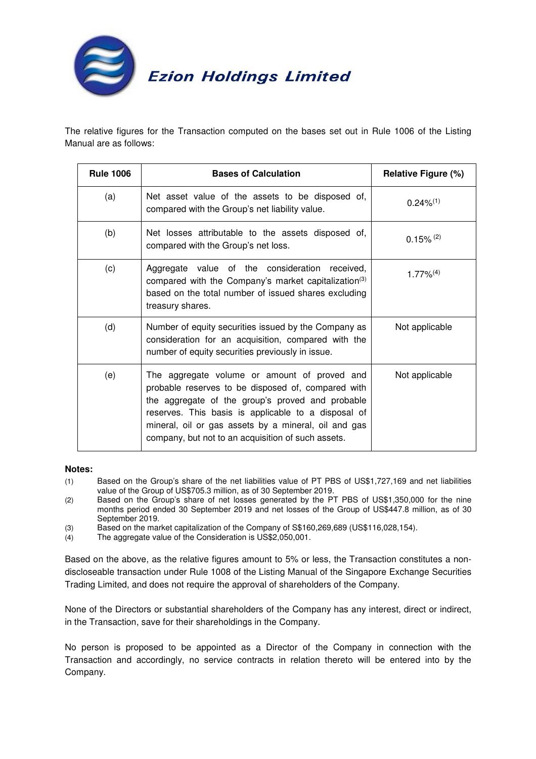

The relative figures for the Transaction computed on the bases set out in Rule 1006 of the Listing Manual are as follows:

| <b>Rule 1006</b> | <b>Bases of Calculation</b>                                                                                                                                                                                                                                                                                                 | <b>Relative Figure (%)</b> |
|------------------|-----------------------------------------------------------------------------------------------------------------------------------------------------------------------------------------------------------------------------------------------------------------------------------------------------------------------------|----------------------------|
| (a)              | Net asset value of the assets to be disposed of,<br>compared with the Group's net liability value.                                                                                                                                                                                                                          | $0.24\%^{(1)}$             |
| (b)              | Net losses attributable to the assets disposed of,<br>compared with the Group's net loss.                                                                                                                                                                                                                                   | $0.15\%$ <sup>(2)</sup>    |
| (c)              | Aggregate value of the consideration received,<br>compared with the Company's market capitalization <sup>(3)</sup><br>based on the total number of issued shares excluding<br>treasury shares.                                                                                                                              | $1.77\%^{(4)}$             |
| (d)              | Number of equity securities issued by the Company as<br>consideration for an acquisition, compared with the<br>number of equity securities previously in issue.                                                                                                                                                             | Not applicable             |
| (e)              | The aggregate volume or amount of proved and<br>probable reserves to be disposed of, compared with<br>the aggregate of the group's proved and probable<br>reserves. This basis is applicable to a disposal of<br>mineral, oil or gas assets by a mineral, oil and gas<br>company, but not to an acquisition of such assets. | Not applicable             |

## **Notes:**

- (1) Based on the Group's share of the net liabilities value of PT PBS of US\$1,727,169 and net liabilities value of the Group of US\$705.3 million, as of 30 September 2019.
- (2) Based on the Group's share of net losses generated by the PT PBS of US\$1,350,000 for the nine months period ended 30 September 2019 and net losses of the Group of US\$447.8 million, as of 30 September 2019.
- (3) Based on the market capitalization of the Company of S\$160,269,689 (US\$116,028,154).
- (4) The aggregate value of the Consideration is US\$2,050,001.

Based on the above, as the relative figures amount to 5% or less, the Transaction constitutes a nondiscloseable transaction under Rule 1008 of the Listing Manual of the Singapore Exchange Securities Trading Limited, and does not require the approval of shareholders of the Company.

None of the Directors or substantial shareholders of the Company has any interest, direct or indirect, in the Transaction, save for their shareholdings in the Company.

No person is proposed to be appointed as a Director of the Company in connection with the Transaction and accordingly, no service contracts in relation thereto will be entered into by the Company.